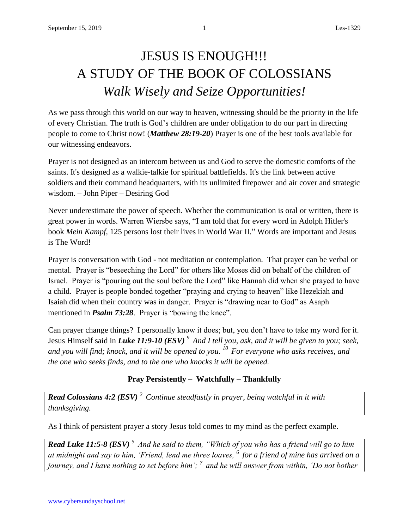# JESUS IS ENOUGH!!! A STUDY OF THE BOOK OF COLOSSIANS *Walk Wisely and Seize Opportunities!*

As we pass through this world on our way to heaven, witnessing should be the priority in the life of every Christian. The truth is God's children are under obligation to do our part in directing people to come to Christ now! (*Matthew 28:19-20*) Prayer is one of the best tools available for our witnessing endeavors.

Prayer is not designed as an intercom between us and God to serve the domestic comforts of the saints. It's designed as a walkie-talkie for spiritual battlefields. It's the link between active soldiers and their command headquarters, with its unlimited firepower and air cover and strategic wisdom. – John Piper – Desiring God

Never underestimate the power of speech. Whether the communication is oral or written, there is great power in words. Warren Wiersbe says, "I am told that for every word in Adolph Hitler's book *Mein Kampf,* 125 persons lost their lives in World War II." Words are important and Jesus is The Word!

Prayer is conversation with God - not meditation or contemplation. That prayer can be verbal or mental. Prayer is "beseeching the Lord" for others like Moses did on behalf of the children of Israel. Prayer is "pouring out the soul before the Lord" like Hannah did when she prayed to have a child. Prayer is people bonded together "praying and crying to heaven" like Hezekiah and Isaiah did when their country was in danger. Prayer is "drawing near to God" as Asaph mentioned in *Psalm 73:28*. Prayer is "bowing the knee".

Can prayer change things? I personally know it does; but, you don't have to take my word for it. Jesus Himself said in *Luke 11:9-10 (ESV) <sup>9</sup>And I tell you, ask, and it will be given to you; seek, and you will find; knock, and it will be opened to you. <sup>10</sup>For everyone who asks receives, and the one who seeks finds, and to the one who knocks it will be opened.*

### **Pray Persistently – Watchfully – Thankfully**

*Read Colossians 4:2 (ESV) <sup>2</sup>Continue steadfastly in prayer, being watchful in it with thanksgiving.* 

As I think of persistent prayer a story Jesus told comes to my mind as the perfect example.

*Read Luke 11:5-8 (ESV) <sup>5</sup>And he said to them, "Which of you who has a friend will go to him at midnight and say to him, 'Friend, lend me three loaves, <sup>6</sup>for a friend of mine has arrived on a journey, and I have nothing to set before him'; <sup>7</sup>and he will answer from within, 'Do not bother*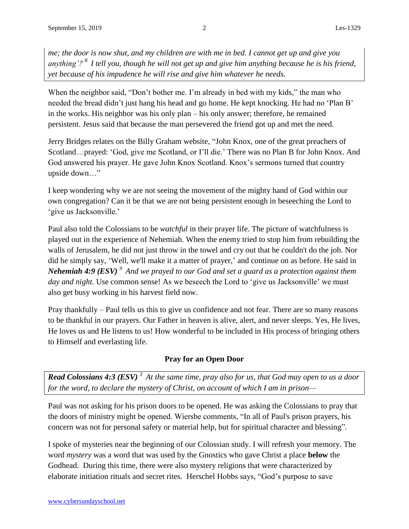*me; the door is now shut, and my children are with me in bed. I cannot get up and give you anything'? <sup>8</sup>I tell you, though he will not get up and give him anything because he is his friend, yet because of his impudence he will rise and give him whatever he needs.*

When the neighbor said, "Don't bother me. I'm already in bed with my kids," the man who needed the bread didn't just hang his head and go home. He kept knocking. He had no 'Plan B' in the works. His neighbor was his only plan – his only answer; therefore, he remained persistent. Jesus said that because the man persevered the friend got up and met the need.

Jerry Bridges relates on the Billy Graham website, "John Knox, one of the great preachers of Scotland…prayed: 'God, give me Scotland, or I'll die.' There was no Plan B for John Knox. And God answered his prayer. He gave John Knox Scotland. Knox's sermons turned that country upside down…"

I keep wondering why we are not seeing the movement of the mighty hand of God within our own congregation? Can it be that we are not being persistent enough in beseeching the Lord to 'give us Jacksonville.'

Paul also told the Colossians to be *watchful* in their prayer life. The picture of watchfulness is played out in the experience of Nehemiah. When the enemy tried to stop him from rebuilding the walls of Jerusalem, he did not just throw in the towel and cry out that he couldn't do the job. Nor did he simply say, 'Well, we'll make it a matter of prayer,' and continue on as before. He said in *Nehemiah 4:9 (ESV) <sup>9</sup>And we prayed to our God and set a guard as a protection against them*  day and night. Use common sense! As we beseech the Lord to 'give us Jacksonville' we must also get busy working in his harvest field now.

Pray thankfully – Paul tells us this to give us confidence and not fear. There are so many reasons to be thankful in our prayers. Our Father in heaven is alive, alert, and never sleeps. Yes, He lives, He loves us and He listens to us! How wonderful to be included in His process of bringing others to Himself and everlasting life.

### **Pray for an Open Door**

*Read Colossians 4:3 (ESV) <sup>3</sup>At the same time, pray also for us, that God may open to us a door for the word, to declare the mystery of Christ, on account of which I am in prison—*

Paul was not asking for his prison doors to be opened. He was asking the Colossians to pray that the doors of ministry might be opened. Wiersbe comments, "In all of Paul's prison prayers, his concern was not for personal safety or material help, but for spiritual character and blessing".

I spoke of mysteries near the beginning of our Colossian study. I will refresh your memory. The word *mystery* was a word that was used by the Gnostics who gave Christ a place **below** the Godhead. During this time, there were also mystery religions that were characterized by elaborate initiation rituals and secret rites. Herschel Hobbs says, "God's purpose to save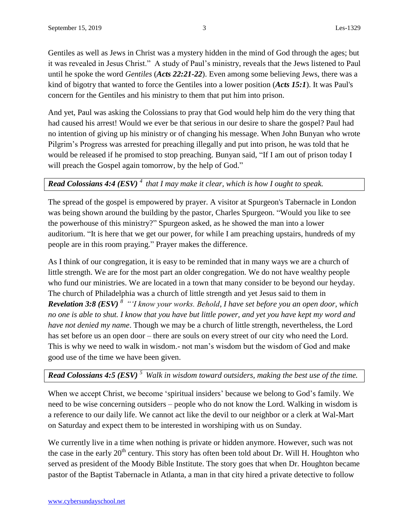Gentiles as well as Jews in Christ was a mystery hidden in the mind of God through the ages; but it was revealed in Jesus Christ." A study of Paul's ministry, reveals that the Jews listened to Paul until he spoke the word *Gentiles* (*Acts 22:21-22*). Even among some believing Jews, there was a kind of bigotry that wanted to force the Gentiles into a lower position (*Acts 15:1*). It was Paul's concern for the Gentiles and his ministry to them that put him into prison.

And yet, Paul was asking the Colossians to pray that God would help him do the very thing that had caused his arrest! Would we ever be that serious in our desire to share the gospel? Paul had no intention of giving up his ministry or of changing his message. When John Bunyan who wrote Pilgrim's Progress was arrested for preaching illegally and put into prison, he was told that he would be released if he promised to stop preaching. Bunyan said, "If I am out of prison today I will preach the Gospel again tomorrow, by the help of God."

## *Read Colossians 4:4 (ESV) <sup>4</sup>that I may make it clear, which is how I ought to speak.*

The spread of the gospel is empowered by prayer. A visitor at Spurgeon's Tabernacle in London was being shown around the building by the pastor, Charles Spurgeon. "Would you like to see the powerhouse of this ministry?" Spurgeon asked, as he showed the man into a lower auditorium. "It is here that we get our power, for while I am preaching upstairs, hundreds of my people are in this room praying." Prayer makes the difference.

As I think of our congregation, it is easy to be reminded that in many ways we are a church of little strength. We are for the most part an older congregation. We do not have wealthy people who fund our ministries. We are located in a town that many consider to be beyond our heyday. The church of Philadelphia was a church of little strength and yet Jesus said to them in *Revelation 3:8 (ESV) <sup>8</sup>"'I know your works. Behold, I have set before you an open door, which no one is able to shut. I know that you have but little power, and yet you have kept my word and have not denied my name*. Though we may be a church of little strength, nevertheless, the Lord has set before us an open door – there are souls on every street of our city who need the Lord. This is why we need to walk in wisdom.- not man's wisdom but the wisdom of God and make good use of the time we have been given.

### *Read Colossians 4:5 (ESV) <sup>5</sup>Walk in wisdom toward outsiders, making the best use of the time.*

When we accept Christ, we become 'spiritual insiders' because we belong to God's family. We need to be wise concerning outsiders – people who do not know the Lord. Walking in wisdom is a reference to our daily life. We cannot act like the devil to our neighbor or a clerk at Wal-Mart on Saturday and expect them to be interested in worshiping with us on Sunday.

We currently live in a time when nothing is private or hidden anymore. However, such was not the case in the early 20<sup>th</sup> century. This story has often been told about Dr. Will H. Houghton who served as president of the Moody Bible Institute. The story goes that when Dr. Houghton became pastor of the Baptist Tabernacle in Atlanta, a man in that city hired a private detective to follow